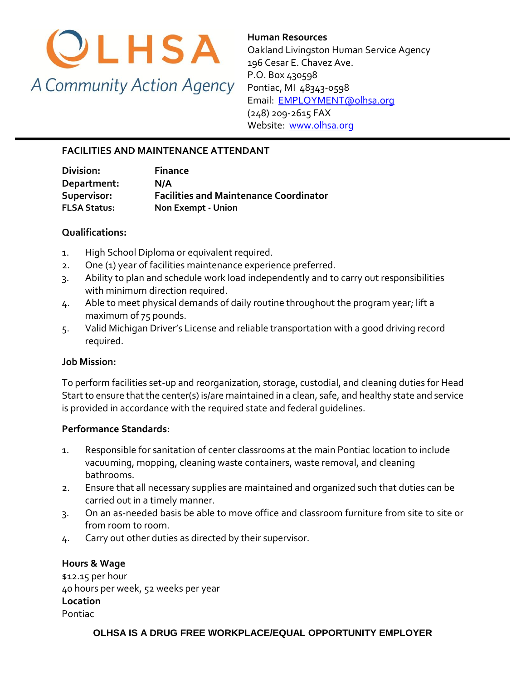

**Human Resources**  Oakland Livingston Human Service Agency 196 Cesar E. Chavez Ave. P.O. Box 430598 Pontiac, MI 48343-0598 [Email: EMPLOYMENT@olhsa.org](mailto:JamilaT@olhsa.org) (248) 209-2615 FAX Website: [www.olhsa.org](http://www.olhsa.org/)

## **FACILITIES AND MAINTENANCE ATTENDANT**

| Division:           | <b>Finance</b>                                |
|---------------------|-----------------------------------------------|
| Department:         | N/A                                           |
| Supervisor:         | <b>Facilities and Maintenance Coordinator</b> |
| <b>FLSA Status:</b> | Non Exempt - Union                            |

### **Qualifications:**

- 1. High School Diploma or equivalent required.
- 2. One (1) year of facilities maintenance experience preferred.
- 3. Ability to plan and schedule work load independently and to carry out responsibilities with minimum direction required.
- 4. Able to meet physical demands of daily routine throughout the program year; lift a maximum of 75 pounds.
- 5. Valid Michigan Driver's License and reliable transportation with a good driving record required.

## **Job Mission:**

To perform facilities set-up and reorganization, storage, custodial, and cleaning duties for Head Start to ensure that the center(s) is/are maintained in a clean, safe, and healthy state and service is provided in accordance with the required state and federal guidelines.

#### **Performance Standards:**

- 1. Responsible for sanitation of center classrooms at the main Pontiac location to include vacuuming, mopping, cleaning waste containers, waste removal, and cleaning bathrooms.
- 2. Ensure that all necessary supplies are maintained and organized such that duties can be carried out in a timely manner.
- 3. On an as-needed basis be able to move office and classroom furniture from site to site or from room to room.
- 4. Carry out other duties as directed by their supervisor.

**Hours & Wage** \$12.15 per hour 40 hours per week, 52 weeks per year **Location** Pontiac

#### **OLHSA IS A DRUG FREE WORKPLACE/EQUAL OPPORTUNITY EMPLOYER**